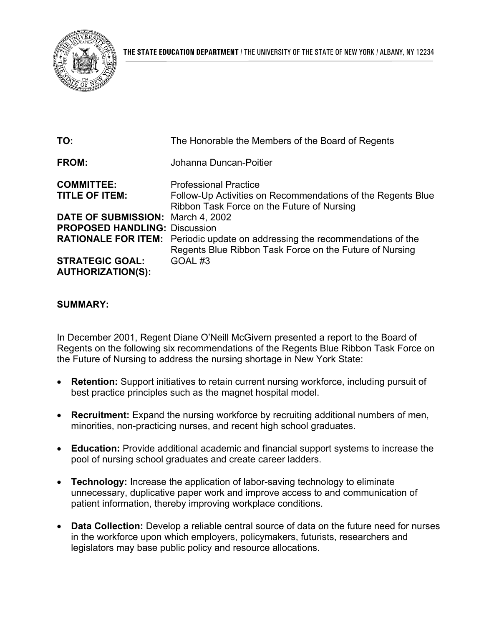

| TO:                                  | The Honorable the Members of the Board of Regents                                                                                              |
|--------------------------------------|------------------------------------------------------------------------------------------------------------------------------------------------|
| FROM:                                | Johanna Duncan-Poitier                                                                                                                         |
| <b>COMMITTEE:</b>                    | <b>Professional Practice</b>                                                                                                                   |
| <b>TITLE OF ITEM:</b>                | Follow-Up Activities on Recommendations of the Regents Blue<br>Ribbon Task Force on the Future of Nursing                                      |
| DATE OF SUBMISSION: March 4, 2002    |                                                                                                                                                |
| <b>PROPOSED HANDLING: Discussion</b> |                                                                                                                                                |
|                                      | <b>RATIONALE FOR ITEM:</b> Periodic update on addressing the recommendations of the<br>Regents Blue Ribbon Task Force on the Future of Nursing |
| <b>STRATEGIC GOAL:</b>               | GOAL#3                                                                                                                                         |
| <b>AUTHORIZATION(S):</b>             |                                                                                                                                                |

## **SUMMARY:**

In December 2001, Regent Diane O'Neill McGivern presented a report to the Board of Regents on the following six recommendations of the Regents Blue Ribbon Task Force on the Future of Nursing to address the nursing shortage in New York State:

- **Retention:** Support initiatives to retain current nursing workforce, including pursuit of best practice principles such as the magnet hospital model.
- • **Recruitment:** Expand the nursing workforce by recruiting additional numbers of men, minorities, non-practicing nurses, and recent high school graduates.
- • **Education:** Provide additional academic and financial support systems to increase the pool of nursing school graduates and create career ladders.
- **Technology:** Increase the application of labor-saving technology to eliminate unnecessary, duplicative paper work and improve access to and communication of patient information, thereby improving workplace conditions.
- **Data Collection:** Develop a reliable central source of data on the future need for nurses in the workforce upon which employers, policymakers, futurists, researchers and legislators may base public policy and resource allocations.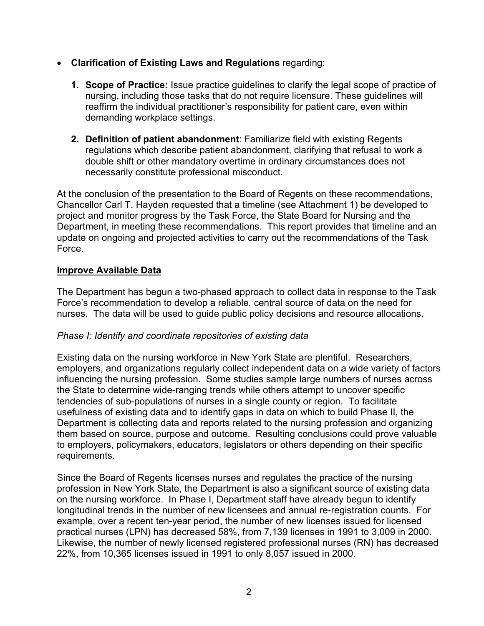- **Clarification of Existing Laws and Regulations** regarding:
	- **1. Scope of Practice:** Issue practice guidelines to clarify the legal scope of practice of nursing, including those tasks that do not require licensure. These guidelines will reaffirm the individual practitioner's responsibility for patient care, even within demanding workplace settings.
	- **2. Definition of patient abandonment**: Familiarize field with existing Regents regulations which describe patient abandonment, clarifying that refusal to work a double shift or other mandatory overtime in ordinary circumstances does not necessarily constitute professional misconduct.

At the conclusion of the presentation to the Board of Regents on these recommendations, Chancellor Carl T. Hayden requested that a timeline (see Attachment 1) be developed to project and monitor progress by the Task Force, the State Board for Nursing and the Department, in meeting these recommendations. This report provides that timeline and an update on ongoing and projected activities to carry out the recommendations of the Task Force.

## **Improve Available Data**

The Department has begun a two-phased approach to collect data in response to the Task Force's recommendation to develop a reliable, central source of data on the need for nurses. The data will be used to guide public policy decisions and resource allocations.

#### *Phase I: Identify and coordinate repositories of existing data*

Existing data on the nursing workforce in New York State are plentiful. Researchers, employers, and organizations regularly collect independent data on a wide variety of factors influencing the nursing profession. Some studies sample large numbers of nurses across the State to determine wide-ranging trends while others attempt to uncover specific tendencies of sub-populations of nurses in a single county or region. To facilitate usefulness of existing data and to identify gaps in data on which to build Phase II, the Department is collecting data and reports related to the nursing profession and organizing them based on source, purpose and outcome. Resulting conclusions could prove valuable to employers, policymakers, educators, legislators or others depending on their specific requirements.

Since the Board of Regents licenses nurses and regulates the practice of the nursing profession in New York State, the Department is also a significant source of existing data on the nursing workforce. In Phase I, Department staff have already begun to identify longitudinal trends in the number of new licensees and annual re-registration counts. For example, over a recent ten-year period, the number of new licenses issued for licensed practical nurses (LPN) has decreased 58%, from 7,139 licenses in 1991 to 3,009 in 2000. Likewise, the number of newly licensed registered professional nurses (RN) has decreased 22%, from 10,365 licenses issued in 1991 to only 8,057 issued in 2000.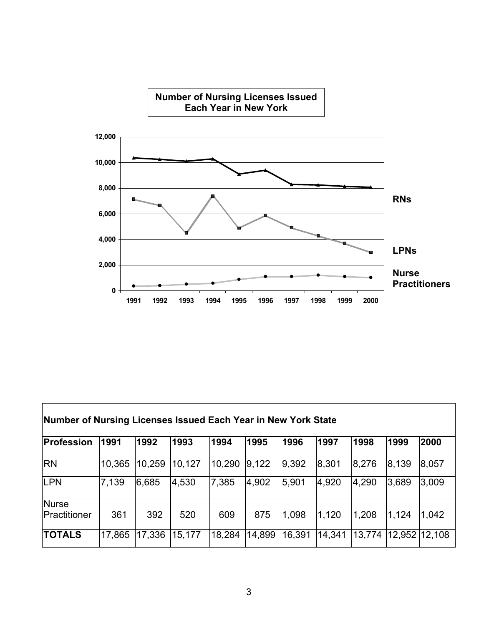

| Number of Nursing Licenses Issued Each Year in New York State |        |        |        |        |        |        |        |        |        |        |
|---------------------------------------------------------------|--------|--------|--------|--------|--------|--------|--------|--------|--------|--------|
| Profession                                                    | 1991   | 1992   | 1993   | 1994   | 1995   | 1996   | 1997   | 1998   | 1999   | 2000   |
| <b>RN</b>                                                     | 10,365 | 10,259 | 10,127 | 10,290 | 9,122  | 9,392  | 8,301  | 8,276  | 8,139  | 8,057  |
| LPN                                                           | 7,139  | 6,685  | 4,530  | 7,385  | 4,902  | 5,901  | 4,920  | 4,290  | 3,689  | 3,009  |
| Nurse<br>Practitioner                                         | 361    | 392    | 520    | 609    | 875    | 1,098  | 1,120  | 1,208  | 1,124  | 1,042  |
| <b>TOTALS</b>                                                 | 17,865 | 17,336 | 15,177 | 18,284 | 14,899 | 16,391 | 14,341 | 13,774 | 12,952 | 12,108 |

Г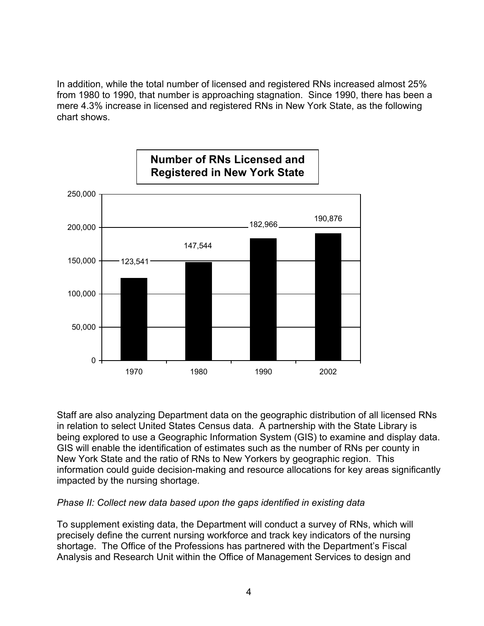In addition, while the total number of licensed and registered RNs increased almost 25% from 1980 to 1990, that number is approaching stagnation. Since 1990, there has been a mere 4.3% increase in licensed and registered RNs in New York State, as the following chart shows.



Staff are also analyzing Department data on the geographic distribution of all licensed RNs in relation to select United States Census data. A partnership with the State Library is being explored to use a Geographic Information System (GIS) to examine and display data. GIS will enable the identification of estimates such as the number of RNs per county in New York State and the ratio of RNs to New Yorkers by geographic region. This information could guide decision-making and resource allocations for key areas significantly impacted by the nursing shortage.

#### *Phase II: Collect new data based upon the gaps identified in existing data*

To supplement existing data, the Department will conduct a survey of RNs, which will precisely define the current nursing workforce and track key indicators of the nursing shortage. The Office of the Professions has partnered with the Department's Fiscal Analysis and Research Unit within the Office of Management Services to design and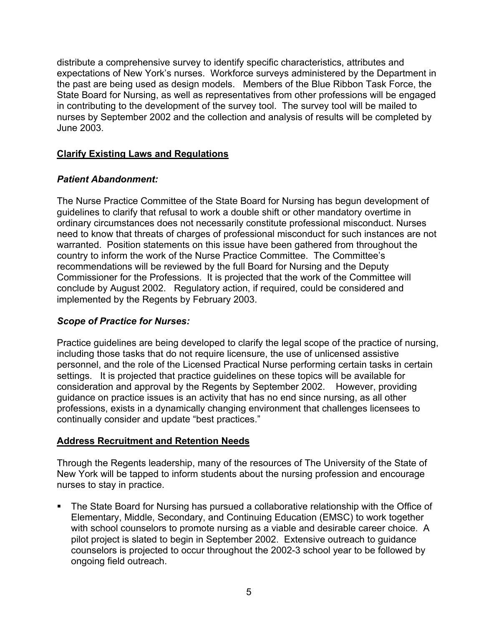distribute a comprehensive survey to identify specific characteristics, attributes and expectations of New York's nurses. Workforce surveys administered by the Department in the past are being used as design models. Members of the Blue Ribbon Task Force, the State Board for Nursing, as well as representatives from other professions will be engaged in contributing to the development of the survey tool. The survey tool will be mailed to nurses by September 2002 and the collection and analysis of results will be completed by June 2003.

# **Clarify Existing Laws and Regulations**

# *Patient Abandonment:*

The Nurse Practice Committee of the State Board for Nursing has begun development of guidelines to clarify that refusal to work a double shift or other mandatory overtime in ordinary circumstances does not necessarily constitute professional misconduct. Nurses need to know that threats of charges of professional misconduct for such instances are not warranted. Position statements on this issue have been gathered from throughout the country to inform the work of the Nurse Practice Committee. The Committee's recommendations will be reviewed by the full Board for Nursing and the Deputy Commissioner for the Professions. It is projected that the work of the Committee will conclude by August 2002. Regulatory action, if required, could be considered and implemented by the Regents by February 2003.

# *Scope of Practice for Nurses:*

 consideration and approval by the Regents by September 2002. However, providing Practice guidelines are being developed to clarify the legal scope of the practice of nursing, including those tasks that do not require licensure, the use of unlicensed assistive personnel, and the role of the Licensed Practical Nurse performing certain tasks in certain settings. It is projected that practice guidelines on these topics will be available for guidance on practice issues is an activity that has no end since nursing, as all other professions, exists in a dynamically changing environment that challenges licensees to continually consider and update "best practices."

#### **Address Recruitment and Retention Needs**

Through the Regents leadership, many of the resources of The University of the State of New York will be tapped to inform students about the nursing profession and encourage nurses to stay in practice.

• The State Board for Nursing has pursued a collaborative relationship with the Office of Elementary, Middle, Secondary, and Continuing Education (EMSC) to work together with school counselors to promote nursing as a viable and desirable career choice. A pilot project is slated to begin in September 2002. Extensive outreach to guidance counselors is projected to occur throughout the 2002-3 school year to be followed by ongoing field outreach.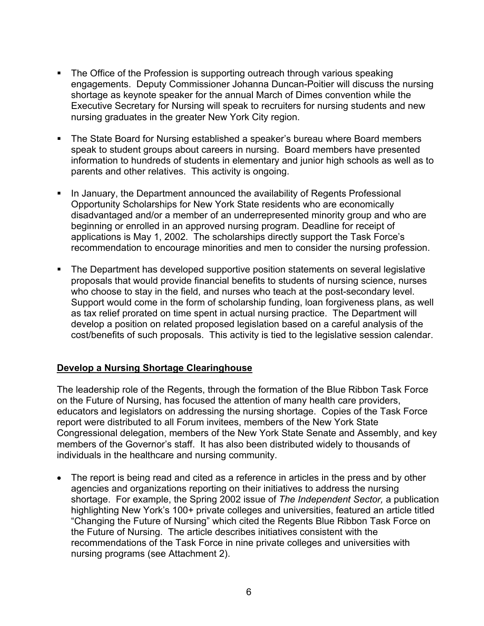- The Office of the Profession is supporting outreach through various speaking engagements. Deputy Commissioner Johanna Duncan-Poitier will discuss the nursing shortage as keynote speaker for the annual March of Dimes convention while the Executive Secretary for Nursing will speak to recruiters for nursing students and new nursing graduates in the greater New York City region.
- The State Board for Nursing established a speaker's bureau where Board members speak to student groups about careers in nursing. Board members have presented information to hundreds of students in elementary and junior high schools as well as to parents and other relatives. This activity is ongoing.
- In January, the Department announced the availability of Regents Professional Opportunity Scholarships for New York State residents who are economically disadvantaged and/or a member of an underrepresented minority group and who are beginning or enrolled in an approved nursing program. Deadline for receipt of applications is May 1, 2002. The scholarships directly support the Task Force's recommendation to encourage minorities and men to consider the nursing profession.
- The Department has developed supportive position statements on several legislative proposals that would provide financial benefits to students of nursing science, nurses who choose to stay in the field, and nurses who teach at the post-secondary level. Support would come in the form of scholarship funding, loan forgiveness plans, as well as tax relief prorated on time spent in actual nursing practice. The Department will develop a position on related proposed legislation based on a careful analysis of the cost/benefits of such proposals. This activity is tied to the legislative session calendar.

# **Develop a Nursing Shortage Clearinghouse**

The leadership role of the Regents, through the formation of the Blue Ribbon Task Force on the Future of Nursing, has focused the attention of many health care providers, educators and legislators on addressing the nursing shortage. Copies of the Task Force report were distributed to all Forum invitees, members of the New York State Congressional delegation, members of the New York State Senate and Assembly, and key members of the Governor's staff. It has also been distributed widely to thousands of individuals in the healthcare and nursing community.

• The report is being read and cited as a reference in articles in the press and by other agencies and organizations reporting on their initiatives to address the nursing shortage. For example, the Spring 2002 issue of *The Independent Sector,* a publication highlighting New York's 100+ private colleges and universities, featured an article titled "Changing the Future of Nursing" which cited the Regents Blue Ribbon Task Force on the Future of Nursing. The article describes initiatives consistent with the recommendations of the Task Force in nine private colleges and universities with nursing programs (see Attachment 2).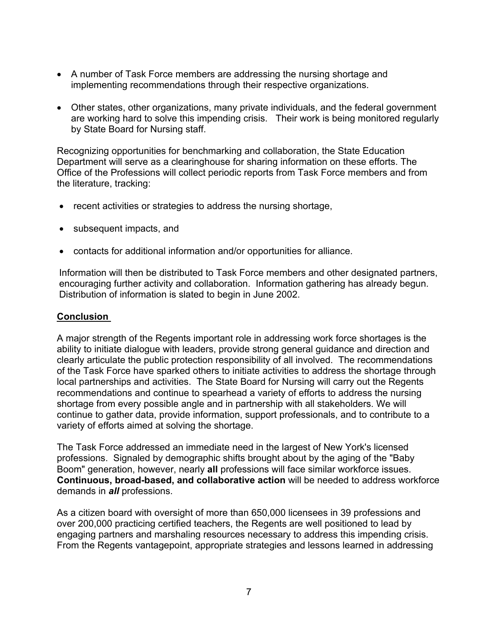- A number of Task Force members are addressing the nursing shortage and implementing recommendations through their respective organizations.
- Other states, other organizations, many private individuals, and the federal government are working hard to solve this impending crisis. Their work is being monitored regularly by State Board for Nursing staff.

Recognizing opportunities for benchmarking and collaboration, the State Education Department will serve as a clearinghouse for sharing information on these efforts. The Office of the Professions will collect periodic reports from Task Force members and from the literature, tracking:

- recent activities or strategies to address the nursing shortage,
- subsequent impacts, and
- contacts for additional information and/or opportunities for alliance.

Information will then be distributed to Task Force members and other designated partners, encouraging further activity and collaboration. Information gathering has already begun. Distribution of information is slated to begin in June 2002.

# **Conclusion**

A major strength of the Regents important role in addressing work force shortages is the ability to initiate dialogue with leaders, provide strong general guidance and direction and clearly articulate the public protection responsibility of all involved. The recommendations of the Task Force have sparked others to initiate activities to address the shortage through local partnerships and activities. The State Board for Nursing will carry out the Regents recommendations and continue to spearhead a variety of efforts to address the nursing shortage from every possible angle and in partnership with all stakeholders. We will continue to gather data, provide information, support professionals, and to contribute to a variety of efforts aimed at solving the shortage.

The Task Force addressed an immediate need in the largest of New York's licensed professions. Signaled by demographic shifts brought about by the aging of the "Baby Boom" generation, however, nearly **all** professions will face similar workforce issues. **Continuous, broad-based, and collaborative action** will be needed to address workforce demands in *all* professions.

As a citizen board with oversight of more than 650,000 licensees in 39 professions and over 200,000 practicing certified teachers, the Regents are well positioned to lead by engaging partners and marshaling resources necessary to address this impending crisis. From the Regents vantagepoint, appropriate strategies and lessons learned in addressing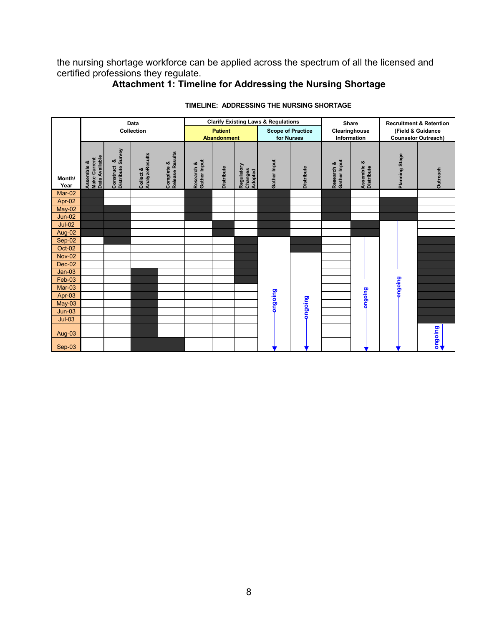the nursing shortage workforce can be applied across the spectrum of all the licensed and certified professions they regulate.

# **Attachment 1: Timeline for Addressing the Nursing Shortage**

|                    | Data                                         |                                     |                             | <b>Clarify Existing Laws &amp; Regulations</b> |                            |                          |                                  |                | <b>Share</b>      |                            | <b>Recruitment &amp; Retention</b> |                |          |
|--------------------|----------------------------------------------|-------------------------------------|-----------------------------|------------------------------------------------|----------------------------|--------------------------|----------------------------------|----------------|-------------------|----------------------------|------------------------------------|----------------|----------|
|                    | Collection                                   |                                     |                             | <b>Patient</b>                                 |                            | <b>Scope of Practice</b> |                                  | Clearinghouse  |                   | (Field & Guidance          |                                    |                |          |
|                    |                                              |                                     |                             | <b>Abandonment</b>                             |                            | for Nurses               |                                  | Information    |                   | <b>Counselor Outreach)</b> |                                    |                |          |
| Month/<br>Year     | Data Available<br>Make Current<br>Assemble & | Distribute Survey<br>ఱ<br>Construct | AnalyzeResults<br>Collect & | Release Results<br>Complete &                  | Research &<br>Gather Input | <b>Distribute</b>        | Regulatory<br>Changes<br>Adopted | Gather Input   | <b>Distribute</b> | Gather Input<br>Research & | Assemble &<br>Distribute           | Planning Stage | Outreach |
| $Mar-02$           |                                              |                                     |                             |                                                |                            |                          |                                  |                |                   |                            |                                    |                |          |
| Apr-02             |                                              |                                     |                             |                                                |                            |                          |                                  |                |                   |                            |                                    |                |          |
| May-02             |                                              |                                     |                             |                                                |                            |                          |                                  |                |                   |                            |                                    |                |          |
| $Jun-02$           |                                              |                                     |                             |                                                |                            |                          |                                  |                |                   |                            |                                    |                |          |
| $Jul-02$           |                                              |                                     |                             |                                                |                            |                          |                                  |                |                   |                            |                                    |                |          |
| Aug-02             |                                              |                                     |                             |                                                |                            |                          |                                  |                |                   |                            |                                    |                |          |
| Sep-02             |                                              |                                     |                             |                                                |                            |                          |                                  |                |                   |                            |                                    |                |          |
| <b>Oct-02</b>      |                                              |                                     |                             |                                                |                            |                          |                                  |                |                   |                            |                                    |                |          |
| <b>Nov-02</b>      |                                              |                                     |                             |                                                |                            |                          |                                  |                |                   |                            |                                    |                |          |
| $Dec-02$           |                                              |                                     |                             |                                                |                            |                          |                                  |                |                   |                            |                                    |                |          |
| $Jan-03$           |                                              |                                     |                             |                                                |                            |                          |                                  |                |                   |                            |                                    | puiogua        |          |
| $Feb-03$<br>Mar-03 |                                              |                                     |                             |                                                |                            |                          |                                  |                |                   |                            |                                    |                |          |
| Apr-03             |                                              |                                     |                             |                                                |                            |                          |                                  |                |                   |                            | puioBuo                            |                |          |
| $May-03$           |                                              |                                     |                             |                                                |                            |                          |                                  |                |                   |                            |                                    |                |          |
| $Jun-03$           |                                              |                                     |                             |                                                |                            |                          |                                  | <b>BujoBuc</b> | priogna           |                            |                                    |                |          |
| $Jul-03$           |                                              |                                     |                             |                                                |                            |                          |                                  |                |                   |                            |                                    |                |          |
| Aug-03             |                                              |                                     |                             |                                                |                            |                          |                                  |                |                   |                            |                                    |                |          |
| Sep-03             |                                              |                                     |                             |                                                |                            |                          |                                  |                |                   |                            |                                    |                | Dujobuo  |

#### **TIMELINE: ADDRESSING THE NURSING SHORTAGE**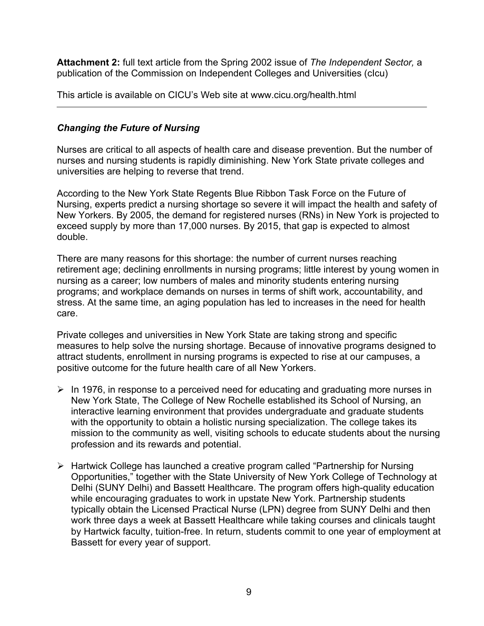**Attachment 2:** full text article from the Spring 2002 issue of *The Independent Sector,* a publication of the Commission on Independent Colleges and Universities (cIcu)

This article is available on CICU's Web site at www.cicu.org/health.html

# *Changing the Future of Nursing*

Nurses are critical to all aspects of health care and disease prevention. But the number of nurses and nursing students is rapidly diminishing. New York State private colleges and universities are helping to reverse that trend.

According to the New York State Regents Blue Ribbon Task Force on the Future of Nursing, experts predict a nursing shortage so severe it will impact the health and safety of New Yorkers. By 2005, the demand for registered nurses (RNs) in New York is projected to exceed supply by more than 17,000 nurses. By 2015, that gap is expected to almost double.

There are many reasons for this shortage: the number of current nurses reaching retirement age; declining enrollments in nursing programs; little interest by young women in nursing as a career; low numbers of males and minority students entering nursing programs; and workplace demands on nurses in terms of shift work, accountability, and stress. At the same time, an aging population has led to increases in the need for health care.

Private colleges and universities in New York State are taking strong and specific measures to help solve the nursing shortage. Because of innovative programs designed to attract students, enrollment in nursing programs is expected to rise at our campuses, a positive outcome for the future health care of all New Yorkers.

- $\triangleright$  In 1976, in response to a perceived need for educating and graduating more nurses in New York State, The College of New Rochelle established its School of Nursing, an interactive learning environment that provides undergraduate and graduate students with the opportunity to obtain a holistic nursing specialization. The college takes its mission to the community as well, visiting schools to educate students about the nursing profession and its rewards and potential.
- ¾ Hartwick College has launched a creative program called "Partnership for Nursing Opportunities," together with the State University of New York College of Technology at Delhi (SUNY Delhi) and Bassett Healthcare. The program offers high-quality education while encouraging graduates to work in upstate New York. Partnership students typically obtain the Licensed Practical Nurse (LPN) degree from SUNY Delhi and then work three days a week at Bassett Healthcare while taking courses and clinicals taught by Hartwick faculty, tuition-free. In return, students commit to one year of employment at Bassett for every year of support.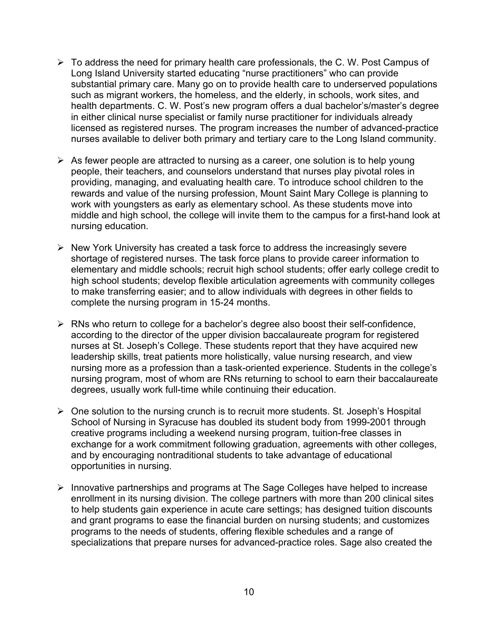- $\triangleright$  To address the need for primary health care professionals, the C. W. Post Campus of Long Island University started educating "nurse practitioners" who can provide substantial primary care. Many go on to provide health care to underserved populations such as migrant workers, the homeless, and the elderly, in schools, work sites, and health departments. C. W. Post's new program offers a dual bachelor's/master's degree in either clinical nurse specialist or family nurse practitioner for individuals already licensed as registered nurses. The program increases the number of advanced-practice nurses available to deliver both primary and tertiary care to the Long Island community.
- $\triangleright$  As fewer people are attracted to nursing as a career, one solution is to help young people, their teachers, and counselors understand that nurses play pivotal roles in providing, managing, and evaluating health care. To introduce school children to the rewards and value of the nursing profession, Mount Saint Mary College is planning to work with youngsters as early as elementary school. As these students move into middle and high school, the college will invite them to the campus for a first-hand look at nursing education.
- $\triangleright$  New York University has created a task force to address the increasingly severe shortage of registered nurses. The task force plans to provide career information to elementary and middle schools; recruit high school students; offer early college credit to high school students; develop flexible articulation agreements with community colleges to make transferring easier; and to allow individuals with degrees in other fields to complete the nursing program in 15-24 months.
- $\triangleright$  RNs who return to college for a bachelor's degree also boost their self-confidence, according to the director of the upper division baccalaureate program for registered nurses at St. Joseph's College. These students report that they have acquired new leadership skills, treat patients more holistically, value nursing research, and view nursing more as a profession than a task-oriented experience. Students in the college's nursing program, most of whom are RNs returning to school to earn their baccalaureate degrees, usually work full-time while continuing their education.
- $\triangleright$  One solution to the nursing crunch is to recruit more students. St. Joseph's Hospital School of Nursing in Syracuse has doubled its student body from 1999-2001 through creative programs including a weekend nursing program, tuition-free classes in exchange for a work commitment following graduation, agreements with other colleges, and by encouraging nontraditional students to take advantage of educational opportunities in nursing.
- ¾ Innovative partnerships and programs at The Sage Colleges have helped to increase enrollment in its nursing division. The college partners with more than 200 clinical sites to help students gain experience in acute care settings; has designed tuition discounts and grant programs to ease the financial burden on nursing students; and customizes programs to the needs of students, offering flexible schedules and a range of specializations that prepare nurses for advanced-practice roles. Sage also created the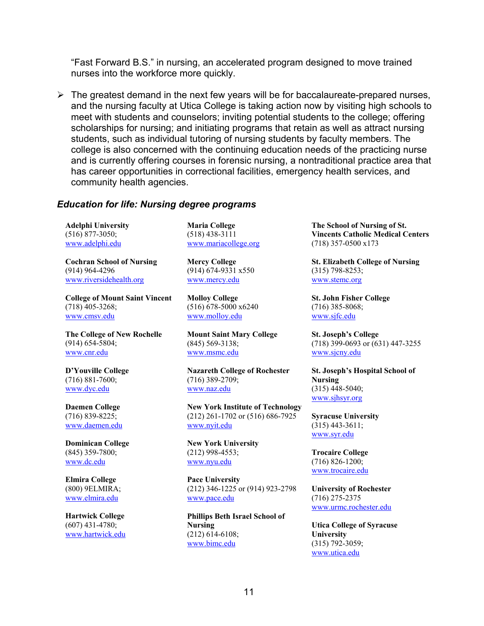"Fast Forward B.S." in nursing, an accelerated program designed to move trained nurses into the workforce more quickly.

 $\triangleright$  The greatest demand in the next few years will be for baccalaureate-prepared nurses, and the nursing faculty at Utica College is taking action now by visiting high schools to meet with students and counselors; inviting potential students to the college; offering scholarships for nursing; and initiating programs that retain as well as attract nursing students, such as individual tutoring of nursing students by faculty members. The college is also concerned with the continuing education needs of the practicing nurse and is currently offering courses in forensic nursing, a nontraditional practice area that has career opportunities in correctional facilities, emergency health services, and community health agencies.

#### *Education for life: Nursing degree programs*

**Adelphi University**  (516) 877-3050; [www.adelphi.edu](http://www.adelphi.edu/) 

**Cochran School of Nursing**  (914) 964-4296 [www.riversidehealth.org](http://www.riversidehealth.org/) 

**College of Mount Saint Vincent**  (718) 405-3268; [www.cmsv.edu](http://www.cmsv.edu/) 

**The College of New Rochelle**  (914) 654-5804; [www.cnr.edu](http://www.cnr.edu/) 

**D'Youville College**  (716) 881-7600; [www.dyc.edu](http://www.dyc.edu /) 

**Daemen College**  (716) 839-8225; [www.daemen.edu](http://www.daemen.edu/) 

**Dominican College**  (845) 359-7800; [www.dc.edu](http://www.dc.edu/) 

**Elmira College**  (800) 9ELMIRA; [www.elmira.edu](http://www.elmira.edu /) 

**Hartwick College**  (607) 431-4780; [www.hartwick.edu](http://www.hartwick.edu/)  **Maria College**  (518) 438-3111 [www.mariacollege.org](http://www.mariacollege.org/) 

**Mercy College**  (914) 674-9331 x550 [www.mercy.edu](http://www.mercy.edu/) 

**Molloy College**  (516) 678-5000 x6240 [www.molloy.edu](http://www.molloy.edu/) 

**Mount Saint Mary College**  (845) 569-3138; [www.msmc.edu](http://www.msmc.edu/) 

**Nazareth College of Rochester**  (716) 389-2709; [www.naz.edu](http://www.naz.edu/) 

**New York Institute of Technology**  (212) 261-1702 or (516) 686-7925 [www.nyit.edu](http://www.nyit.edu/) 

**New York University**  (212) 998-4553; [www.nyu.edu](http://www.nyu.edu/) 

**Pace University**  (212) 346-1225 or (914) 923-2798 [www.pace.edu](http://www.pace.edu/) 

**Phillips Beth Israel School of Nursing**  (212) 614-6108; [www.bimc.edu](http://www.bimc.edu/) 

**The School of Nursing of St. Vincents Catholic Medical Centers**  (718) 357-0500 x173

**St. Elizabeth College of Nursing**  (315) 798-8253; [www.stemc.org](http://www.stemc.org/) 

**St. John Fisher College**  (716) 385-8068; [www.sjfc.edu](http://www.sjfc.edu/) 

**St. Joseph's College**  (718) 399-0693 or (631) 447-3255 [www.sjcny.edu](http://www.sjcny.edu/) 

**St. Joseph's Hospital School of Nursing**  (315) 448-5040; [www.sjhsyr.org](http://www.sjhsyr.org/) 

**Syracuse University**  (315) 443-3611; [www.syr.edu](http://www.syr.edu/) 

**Trocaire College**  (716) 826-1200; [www.trocaire.edu](http://www.trocaire.edu/) 

**University of Rochester**  (716) 275-2375 [www.urmc.rochester.edu](http://www.urmc.rochester.edu/) 

**Utica College of Syracuse University**  (315) 792-3059; [www.utica.edu](http://www.utica.edu /)